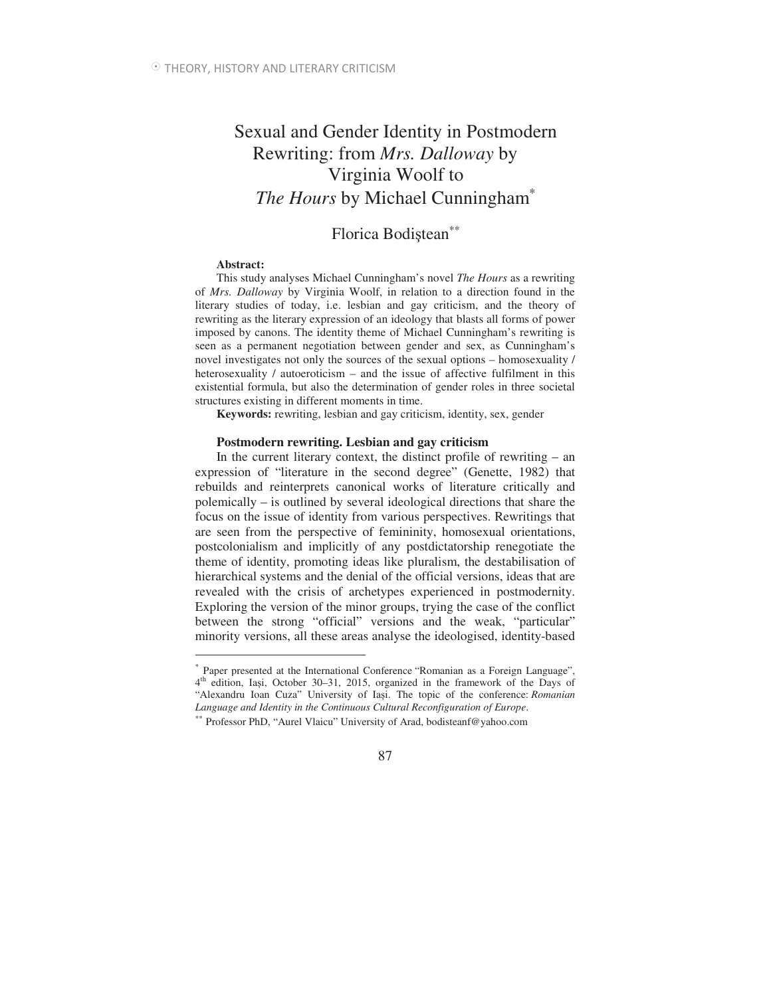# Sexual and Gender Identity in Postmodern Rewriting: from *Mrs. Dalloway* by Virginia Woolf to *The Hours* by Michael Cunningham<sup>®</sup>

# Florica Bodistean<sup>\*\*</sup>

### **Abstract:**

 $\overline{a}$ 

This study analyses Michael Cunningham's novel *The Hours* as a rewriting of *Mrs. Dalloway* by Virginia Woolf, in relation to a direction found in the literary studies of today, i.e. lesbian and gay criticism, and the theory of rewriting as the literary expression of an ideology that blasts all forms of power imposed by canons. The identity theme of Michael Cunningham's rewriting is seen as a permanent negotiation between gender and sex, as Cunningham's novel investigates not only the sources of the sexual options – homosexuality / heterosexuality / autoeroticism – and the issue of affective fulfilment in this existential formula, but also the determination of gender roles in three societal structures existing in different moments in time.

**Keywords:** rewriting, lesbian and gay criticism, identity, sex, gender

### **Postmodern rewriting. Lesbian and gay criticism**

In the current literary context, the distinct profile of rewriting – an expression of "literature in the second degree" (Genette, 1982) that rebuilds and reinterprets canonical works of literature critically and polemically – is outlined by several ideological directions that share the focus on the issue of identity from various perspectives. Rewritings that are seen from the perspective of femininity, homosexual orientations, postcolonialism and implicitly of any postdictatorship renegotiate the theme of identity, promoting ideas like pluralism, the destabilisation of hierarchical systems and the denial of the official versions, ideas that are revealed with the crisis of archetypes experienced in postmodernity. Exploring the version of the minor groups, trying the case of the conflict between the strong "official" versions and the weak, "particular" minority versions, all these areas analyse the ideologised, identity-based

<sup>∗</sup> Paper presented at the International Conference "Romanian as a Foreign Language", 4<sup>th</sup> edition, Iași, October 30–31, 2015, organized in the framework of the Days of "Alexandru Ioan Cuza" University of Iasi. The topic of the conference: *Romanian Language and Identity in the Continuous Cultural Reconfiguration of Europe*.

<sup>∗∗</sup> Professor PhD, "Aurel Vlaicu" University of Arad, bodisteanf@yahoo.com

<sup>87</sup>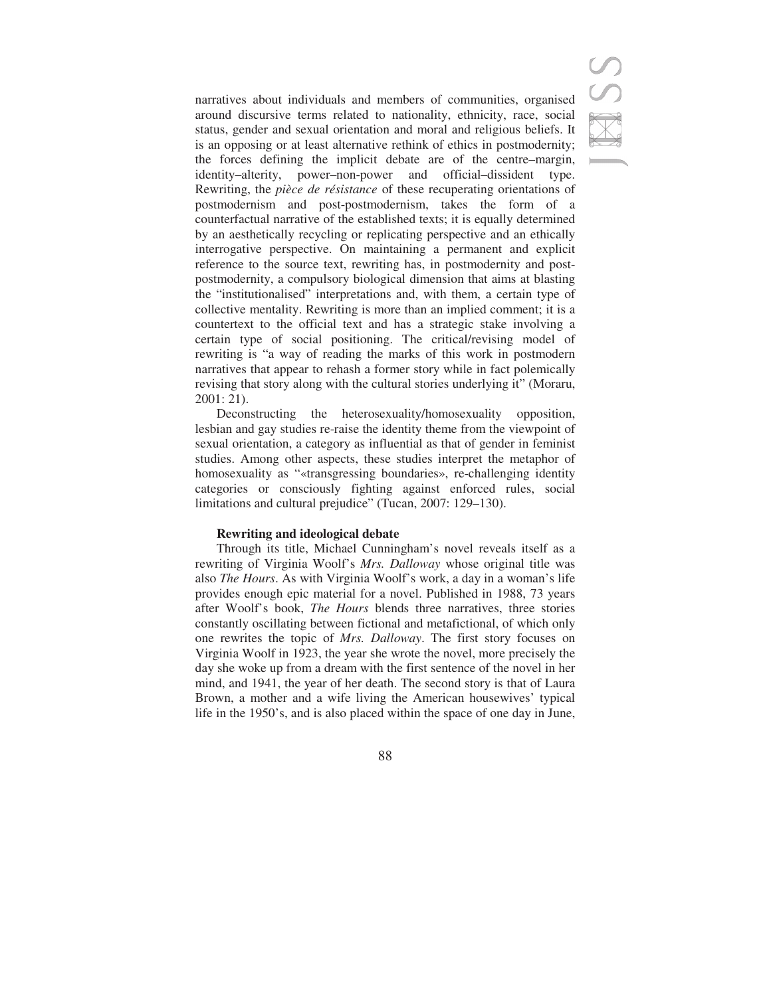narratives about individuals and members of communities, organised around discursive terms related to nationality, ethnicity, race, social status, gender and sexual orientation and moral and religious beliefs. It is an opposing or at least alternative rethink of ethics in postmodernity; the forces defining the implicit debate are of the centre–margin, identity–alterity, power–non-power and official–dissident type. Rewriting, the *pièce de résistance* of these recuperating orientations of postmodernism and post-postmodernism, takes the form of a counterfactual narrative of the established texts; it is equally determined by an aesthetically recycling or replicating perspective and an ethically interrogative perspective. On maintaining a permanent and explicit reference to the source text, rewriting has, in postmodernity and postpostmodernity, a compulsory biological dimension that aims at blasting the "institutionalised" interpretations and, with them, a certain type of collective mentality. Rewriting is more than an implied comment; it is a countertext to the official text and has a strategic stake involving a certain type of social positioning. The critical/revising model of rewriting is "a way of reading the marks of this work in postmodern narratives that appear to rehash a former story while in fact polemically revising that story along with the cultural stories underlying it" (Moraru, 2001: 21).

Deconstructing the heterosexuality/homosexuality opposition, lesbian and gay studies re-raise the identity theme from the viewpoint of sexual orientation, a category as influential as that of gender in feminist studies. Among other aspects, these studies interpret the metaphor of homosexuality as "«transgressing boundaries», re-challenging identity categories or consciously fighting against enforced rules, social limitations and cultural prejudice" (Tucan, 2007: 129–130).

### **Rewriting and ideological debate**

Through its title, Michael Cunningham's novel reveals itself as a rewriting of Virginia Woolf's *Mrs. Dalloway* whose original title was also *The Hours*. As with Virginia Woolf's work, a day in a woman's life provides enough epic material for a novel. Published in 1988, 73 years after Woolf's book, *The Hours* blends three narratives, three stories constantly oscillating between fictional and metafictional, of which only one rewrites the topic of *Mrs. Dalloway*. The first story focuses on Virginia Woolf in 1923, the year she wrote the novel, more precisely the day she woke up from a dream with the first sentence of the novel in her mind, and 1941, the year of her death. The second story is that of Laura Brown, a mother and a wife living the American housewives' typical life in the 1950's, and is also placed within the space of one day in June,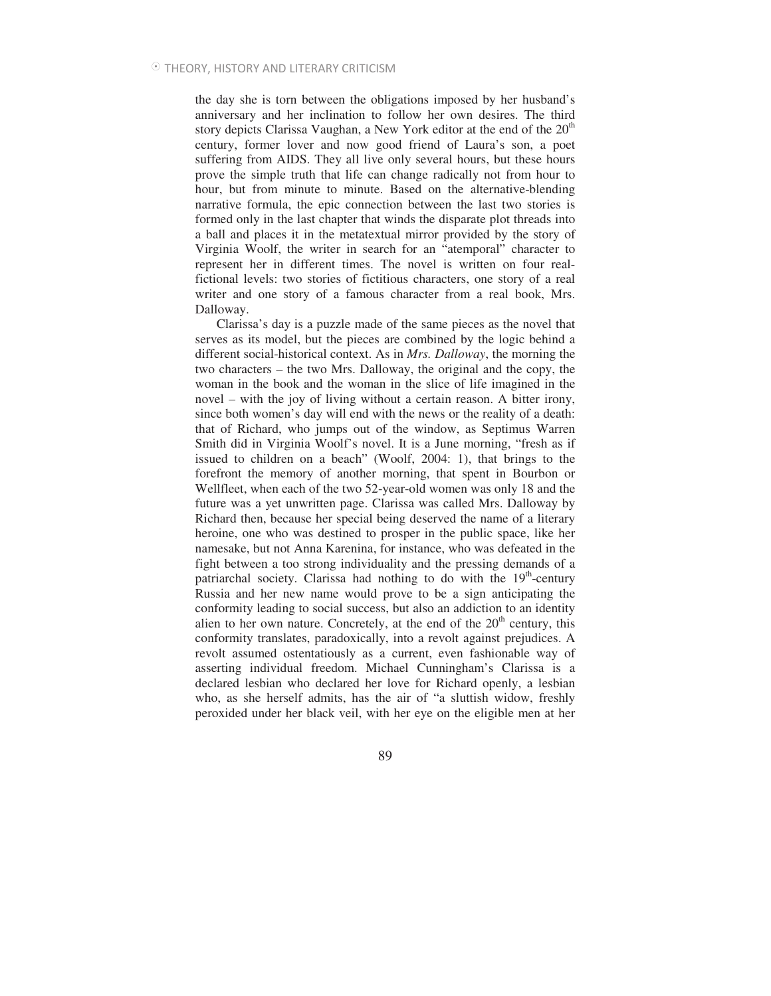the day she is torn between the obligations imposed by her husband's anniversary and her inclination to follow her own desires. The third story depicts Clarissa Vaughan, a New York editor at the end of the  $20<sup>th</sup>$ century, former lover and now good friend of Laura's son, a poet suffering from AIDS. They all live only several hours, but these hours prove the simple truth that life can change radically not from hour to hour, but from minute to minute. Based on the alternative-blending narrative formula, the epic connection between the last two stories is formed only in the last chapter that winds the disparate plot threads into a ball and places it in the metatextual mirror provided by the story of Virginia Woolf, the writer in search for an "atemporal" character to represent her in different times. The novel is written on four realfictional levels: two stories of fictitious characters, one story of a real writer and one story of a famous character from a real book, Mrs. Dalloway.

Clarissa's day is a puzzle made of the same pieces as the novel that serves as its model, but the pieces are combined by the logic behind a different social-historical context. As in *Mrs. Dalloway*, the morning the two characters – the two Mrs. Dalloway, the original and the copy, the woman in the book and the woman in the slice of life imagined in the novel – with the joy of living without a certain reason. A bitter irony, since both women's day will end with the news or the reality of a death: that of Richard, who jumps out of the window, as Septimus Warren Smith did in Virginia Woolf's novel. It is a June morning, "fresh as if issued to children on a beach" (Woolf, 2004: 1), that brings to the forefront the memory of another morning, that spent in Bourbon or Wellfleet, when each of the two 52-year-old women was only 18 and the future was a yet unwritten page. Clarissa was called Mrs. Dalloway by Richard then, because her special being deserved the name of a literary heroine, one who was destined to prosper in the public space, like her namesake, but not Anna Karenina, for instance, who was defeated in the fight between a too strong individuality and the pressing demands of a patriarchal society. Clarissa had nothing to do with the  $19<sup>th</sup>$ -century Russia and her new name would prove to be a sign anticipating the conformity leading to social success, but also an addiction to an identity alien to her own nature. Concretely, at the end of the  $20<sup>th</sup>$  century, this conformity translates, paradoxically, into a revolt against prejudices. A revolt assumed ostentatiously as a current, even fashionable way of asserting individual freedom. Michael Cunningham's Clarissa is a declared lesbian who declared her love for Richard openly, a lesbian who, as she herself admits, has the air of "a sluttish widow, freshly peroxided under her black veil, with her eye on the eligible men at her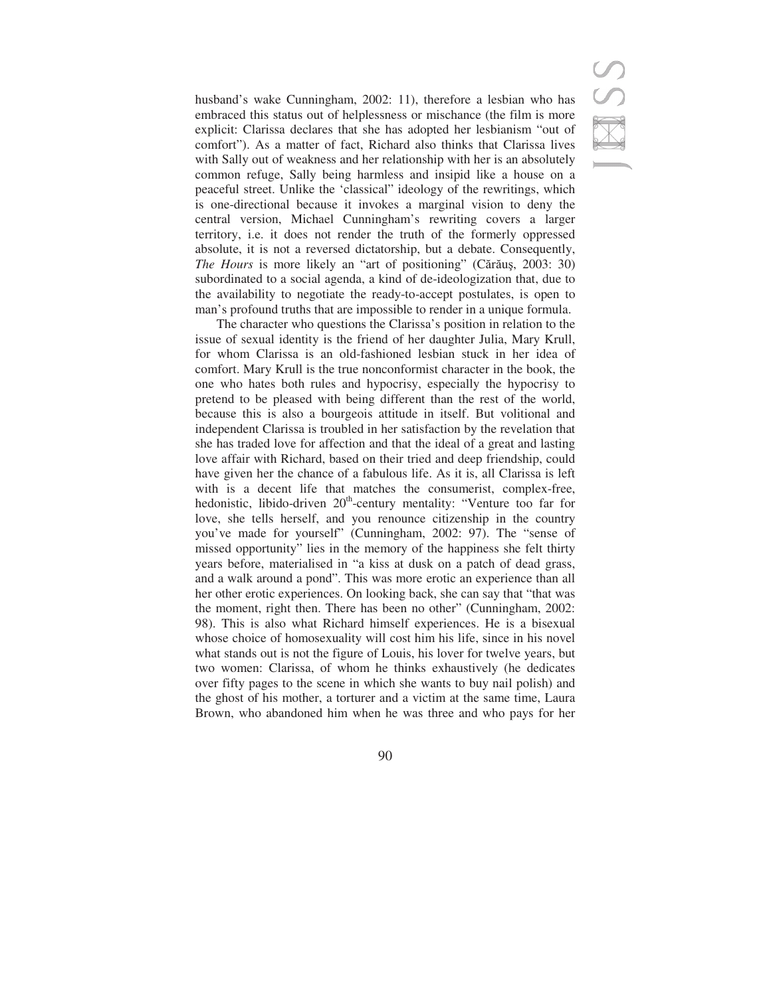husband's wake Cunningham, 2002: 11), therefore a lesbian who has embraced this status out of helplessness or mischance (the film is more explicit: Clarissa declares that she has adopted her lesbianism "out of comfort"). As a matter of fact, Richard also thinks that Clarissa lives with Sally out of weakness and her relationship with her is an absolutely common refuge, Sally being harmless and insipid like a house on a peaceful street. Unlike the 'classical" ideology of the rewritings, which is one-directional because it invokes a marginal vision to deny the central version, Michael Cunningham's rewriting covers a larger territory, i.e. it does not render the truth of the formerly oppressed absolute, it is not a reversed dictatorship, but a debate. Consequently, The Hours is more likely an "art of positioning" (Cărăuș, 2003: 30) subordinated to a social agenda, a kind of de-ideologization that, due to the availability to negotiate the ready-to-accept postulates, is open to man's profound truths that are impossible to render in a unique formula.

The character who questions the Clarissa's position in relation to the issue of sexual identity is the friend of her daughter Julia, Mary Krull, for whom Clarissa is an old-fashioned lesbian stuck in her idea of comfort. Mary Krull is the true nonconformist character in the book, the one who hates both rules and hypocrisy, especially the hypocrisy to pretend to be pleased with being different than the rest of the world, because this is also a bourgeois attitude in itself. But volitional and independent Clarissa is troubled in her satisfaction by the revelation that she has traded love for affection and that the ideal of a great and lasting love affair with Richard, based on their tried and deep friendship, could have given her the chance of a fabulous life. As it is, all Clarissa is left with is a decent life that matches the consumerist, complex-free, hedonistic, libido-driven  $20<sup>th</sup>$ -century mentality: "Venture too far for love, she tells herself, and you renounce citizenship in the country you've made for yourself" (Cunningham, 2002: 97). The "sense of missed opportunity" lies in the memory of the happiness she felt thirty years before, materialised in "a kiss at dusk on a patch of dead grass, and a walk around a pond". This was more erotic an experience than all her other erotic experiences. On looking back, she can say that "that was the moment, right then. There has been no other" (Cunningham, 2002: 98). This is also what Richard himself experiences. He is a bisexual whose choice of homosexuality will cost him his life, since in his novel what stands out is not the figure of Louis, his lover for twelve years, but two women: Clarissa, of whom he thinks exhaustively (he dedicates over fifty pages to the scene in which she wants to buy nail polish) and the ghost of his mother, a torturer and a victim at the same time, Laura Brown, who abandoned him when he was three and who pays for her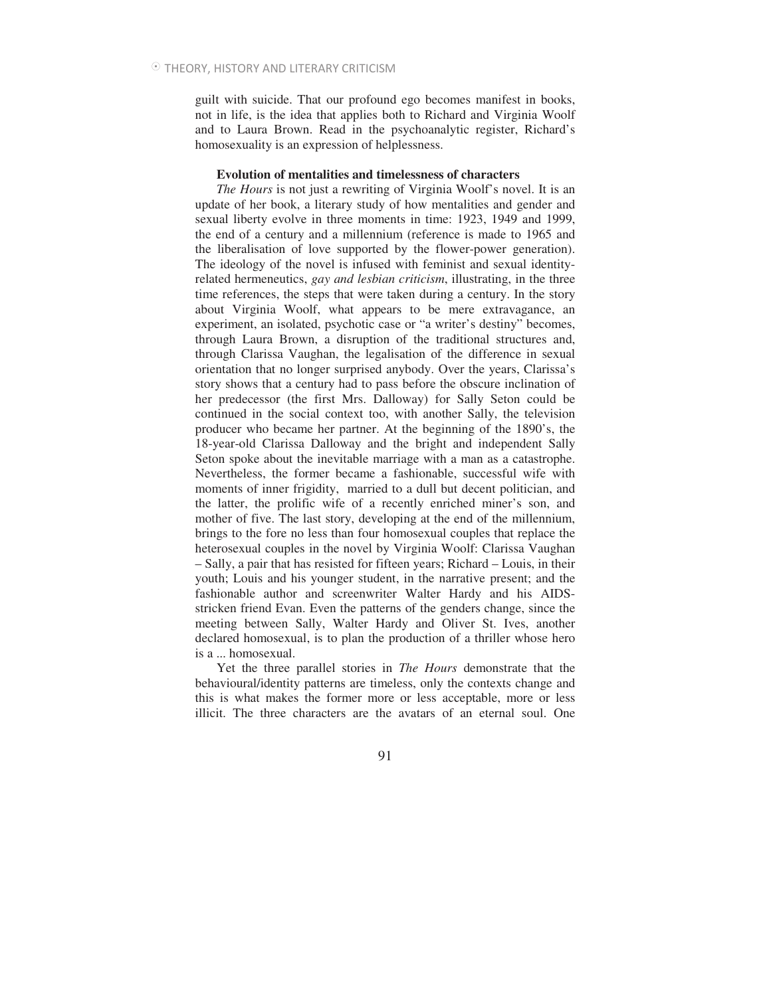guilt with suicide. That our profound ego becomes manifest in books, not in life, is the idea that applies both to Richard and Virginia Woolf and to Laura Brown. Read in the psychoanalytic register, Richard's homosexuality is an expression of helplessness.

### **Evolution of mentalities and timelessness of characters**

*The Hours* is not just a rewriting of Virginia Woolf's novel. It is an update of her book, a literary study of how mentalities and gender and sexual liberty evolve in three moments in time: 1923, 1949 and 1999, the end of a century and a millennium (reference is made to 1965 and the liberalisation of love supported by the flower-power generation). The ideology of the novel is infused with feminist and sexual identityrelated hermeneutics, *gay and lesbian criticism*, illustrating, in the three time references, the steps that were taken during a century. In the story about Virginia Woolf, what appears to be mere extravagance, an experiment, an isolated, psychotic case or "a writer's destiny" becomes, through Laura Brown, a disruption of the traditional structures and, through Clarissa Vaughan, the legalisation of the difference in sexual orientation that no longer surprised anybody. Over the years, Clarissa's story shows that a century had to pass before the obscure inclination of her predecessor (the first Mrs. Dalloway) for Sally Seton could be continued in the social context too, with another Sally, the television producer who became her partner. At the beginning of the 1890's, the 18-year-old Clarissa Dalloway and the bright and independent Sally Seton spoke about the inevitable marriage with a man as a catastrophe. Nevertheless, the former became a fashionable, successful wife with moments of inner frigidity, married to a dull but decent politician, and the latter, the prolific wife of a recently enriched miner's son, and mother of five. The last story, developing at the end of the millennium, brings to the fore no less than four homosexual couples that replace the heterosexual couples in the novel by Virginia Woolf: Clarissa Vaughan – Sally, a pair that has resisted for fifteen years; Richard – Louis, in their youth; Louis and his younger student, in the narrative present; and the fashionable author and screenwriter Walter Hardy and his AIDSstricken friend Evan. Even the patterns of the genders change, since the meeting between Sally, Walter Hardy and Oliver St. Ives, another declared homosexual, is to plan the production of a thriller whose hero is a ... homosexual.

Yet the three parallel stories in *The Hours* demonstrate that the behavioural/identity patterns are timeless, only the contexts change and this is what makes the former more or less acceptable, more or less illicit. The three characters are the avatars of an eternal soul. One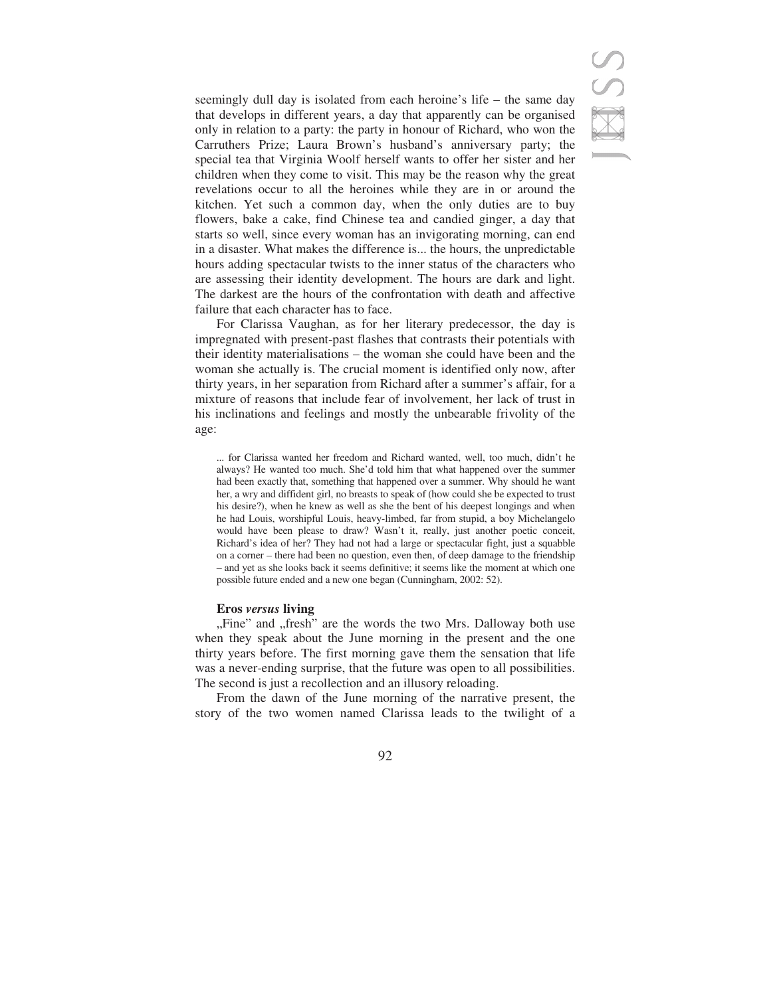# S<br>R

seemingly dull day is isolated from each heroine's life – the same day that develops in different years, a day that apparently can be organised only in relation to a party: the party in honour of Richard, who won the Carruthers Prize; Laura Brown's husband's anniversary party; the special tea that Virginia Woolf herself wants to offer her sister and her children when they come to visit. This may be the reason why the great revelations occur to all the heroines while they are in or around the kitchen. Yet such a common day, when the only duties are to buy flowers, bake a cake, find Chinese tea and candied ginger, a day that starts so well, since every woman has an invigorating morning, can end in a disaster. What makes the difference is... the hours, the unpredictable hours adding spectacular twists to the inner status of the characters who are assessing their identity development. The hours are dark and light. The darkest are the hours of the confrontation with death and affective failure that each character has to face.

For Clarissa Vaughan, as for her literary predecessor, the day is impregnated with present-past flashes that contrasts their potentials with their identity materialisations – the woman she could have been and the woman she actually is. The crucial moment is identified only now, after thirty years, in her separation from Richard after a summer's affair, for a mixture of reasons that include fear of involvement, her lack of trust in his inclinations and feelings and mostly the unbearable frivolity of the age:

... for Clarissa wanted her freedom and Richard wanted, well, too much, didn't he always? He wanted too much. She'd told him that what happened over the summer had been exactly that, something that happened over a summer. Why should he want her, a wry and diffident girl, no breasts to speak of (how could she be expected to trust his desire?), when he knew as well as she the bent of his deepest longings and when he had Louis, worshipful Louis, heavy-limbed, far from stupid, a boy Michelangelo would have been please to draw? Wasn't it, really, just another poetic conceit, Richard's idea of her? They had not had a large or spectacular fight, just a squabble on a corner – there had been no question, even then, of deep damage to the friendship – and yet as she looks back it seems definitive; it seems like the moment at which one possible future ended and a new one began (Cunningham, 2002: 52).

### **Eros** *versus* **living**

"Fine" and "fresh" are the words the two Mrs. Dalloway both use when they speak about the June morning in the present and the one thirty years before. The first morning gave them the sensation that life was a never-ending surprise, that the future was open to all possibilities. The second is just a recollection and an illusory reloading.

From the dawn of the June morning of the narrative present, the story of the two women named Clarissa leads to the twilight of a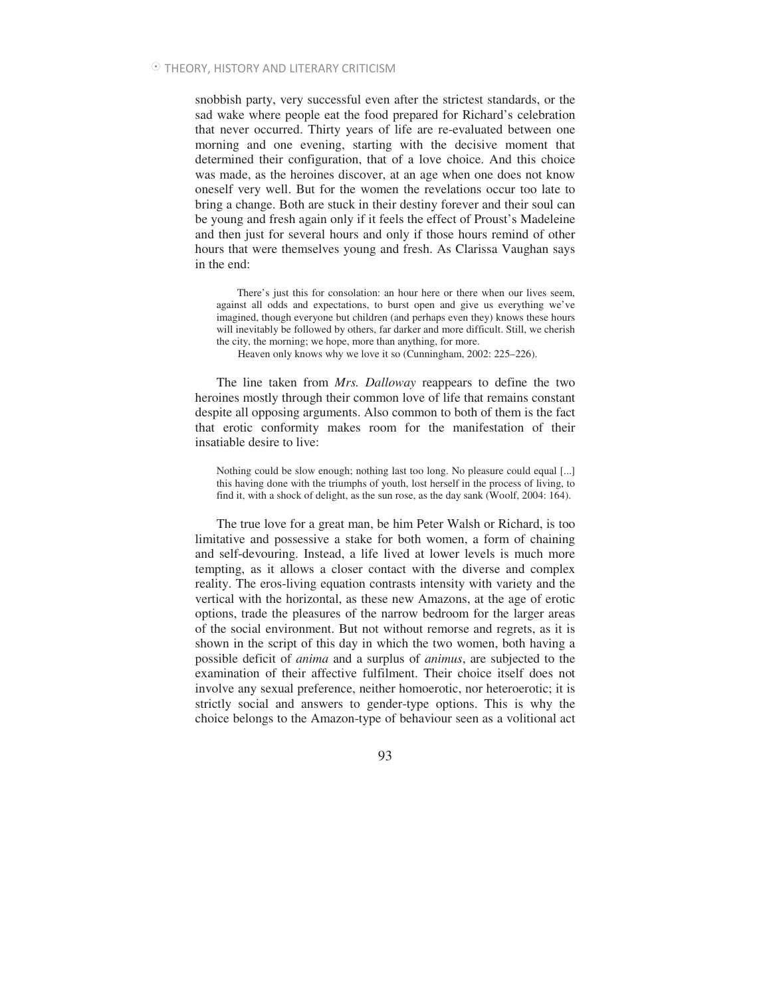snobbish party, very successful even after the strictest standards, or the sad wake where people eat the food prepared for Richard's celebration that never occurred. Thirty years of life are re-evaluated between one morning and one evening, starting with the decisive moment that determined their configuration, that of a love choice. And this choice was made, as the heroines discover, at an age when one does not know oneself very well. But for the women the revelations occur too late to bring a change. Both are stuck in their destiny forever and their soul can be young and fresh again only if it feels the effect of Proust's Madeleine and then just for several hours and only if those hours remind of other hours that were themselves young and fresh. As Clarissa Vaughan says in the end:

There's just this for consolation: an hour here or there when our lives seem, against all odds and expectations, to burst open and give us everything we've imagined, though everyone but children (and perhaps even they) knows these hours will inevitably be followed by others, far darker and more difficult. Still, we cherish the city, the morning; we hope, more than anything, for more.

Heaven only knows why we love it so (Cunningham, 2002: 225–226).

The line taken from *Mrs. Dalloway* reappears to define the two heroines mostly through their common love of life that remains constant despite all opposing arguments. Also common to both of them is the fact that erotic conformity makes room for the manifestation of their insatiable desire to live:

Nothing could be slow enough; nothing last too long. No pleasure could equal [...] this having done with the triumphs of youth, lost herself in the process of living, to find it, with a shock of delight, as the sun rose, as the day sank (Woolf, 2004: 164).

The true love for a great man, be him Peter Walsh or Richard, is too limitative and possessive a stake for both women, a form of chaining and self-devouring. Instead, a life lived at lower levels is much more tempting, as it allows a closer contact with the diverse and complex reality. The eros-living equation contrasts intensity with variety and the vertical with the horizontal, as these new Amazons, at the age of erotic options, trade the pleasures of the narrow bedroom for the larger areas of the social environment. But not without remorse and regrets, as it is shown in the script of this day in which the two women, both having a possible deficit of *anima* and a surplus of *animus*, are subjected to the examination of their affective fulfilment. Their choice itself does not involve any sexual preference, neither homoerotic, nor heteroerotic; it is strictly social and answers to gender-type options. This is why the choice belongs to the Amazon-type of behaviour seen as a volitional act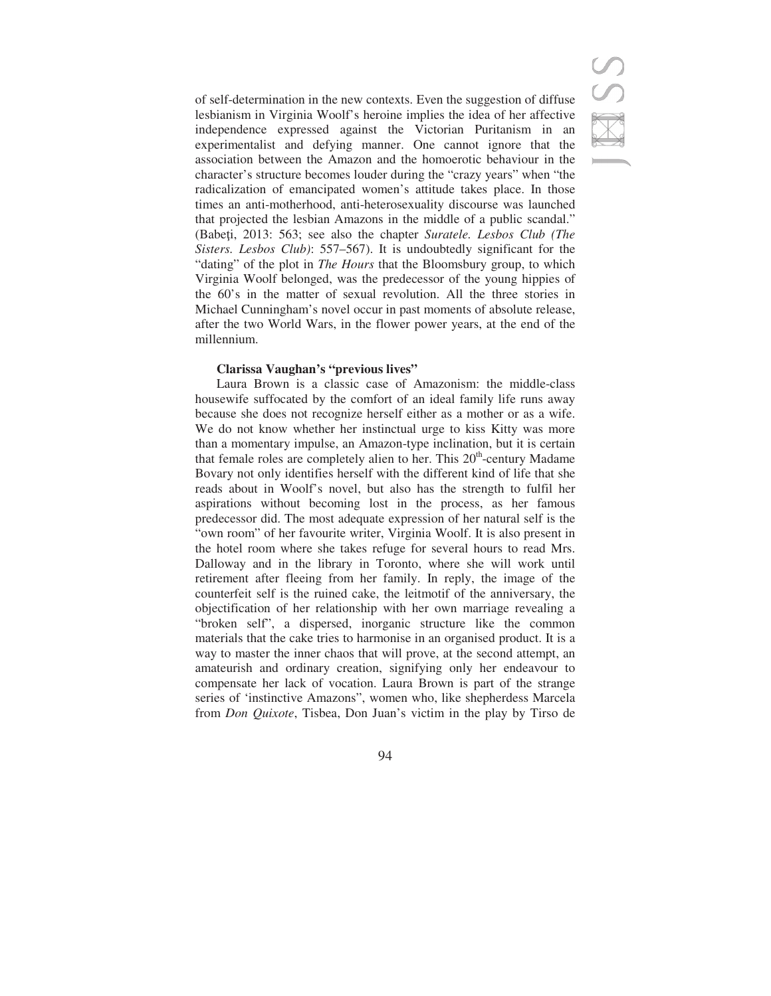of self-determination in the new contexts. Even the suggestion of diffuse lesbianism in Virginia Woolf's heroine implies the idea of her affective independence expressed against the Victorian Puritanism in an experimentalist and defying manner. One cannot ignore that the association between the Amazon and the homoerotic behaviour in the character's structure becomes louder during the "crazy years" when "the radicalization of emancipated women's attitude takes place. In those times an anti-motherhood, anti-heterosexuality discourse was launched that projected the lesbian Amazons in the middle of a public scandal." (Babei, 2013: 563; see also the chapter *Suratele. Lesbos Club (The Sisters. Lesbos Club)*: 557–567). It is undoubtedly significant for the "dating" of the plot in *The Hours* that the Bloomsbury group, to which Virginia Woolf belonged, was the predecessor of the young hippies of the 60's in the matter of sexual revolution. All the three stories in Michael Cunningham's novel occur in past moments of absolute release, after the two World Wars, in the flower power years, at the end of the millennium.

### **Clarissa Vaughan's "previous lives"**

Laura Brown is a classic case of Amazonism: the middle-class housewife suffocated by the comfort of an ideal family life runs away because she does not recognize herself either as a mother or as a wife. We do not know whether her instinctual urge to kiss Kitty was more than a momentary impulse, an Amazon-type inclination, but it is certain that female roles are completely alien to her. This  $20<sup>th</sup>$ -century Madame Bovary not only identifies herself with the different kind of life that she reads about in Woolf's novel, but also has the strength to fulfil her aspirations without becoming lost in the process, as her famous predecessor did. The most adequate expression of her natural self is the "own room" of her favourite writer, Virginia Woolf. It is also present in the hotel room where she takes refuge for several hours to read Mrs. Dalloway and in the library in Toronto, where she will work until retirement after fleeing from her family. In reply, the image of the counterfeit self is the ruined cake, the leitmotif of the anniversary, the objectification of her relationship with her own marriage revealing a "broken self", a dispersed, inorganic structure like the common materials that the cake tries to harmonise in an organised product. It is a way to master the inner chaos that will prove, at the second attempt, an amateurish and ordinary creation, signifying only her endeavour to compensate her lack of vocation. Laura Brown is part of the strange series of 'instinctive Amazons", women who, like shepherdess Marcela from *Don Quixote*, Tisbea, Don Juan's victim in the play by Tirso de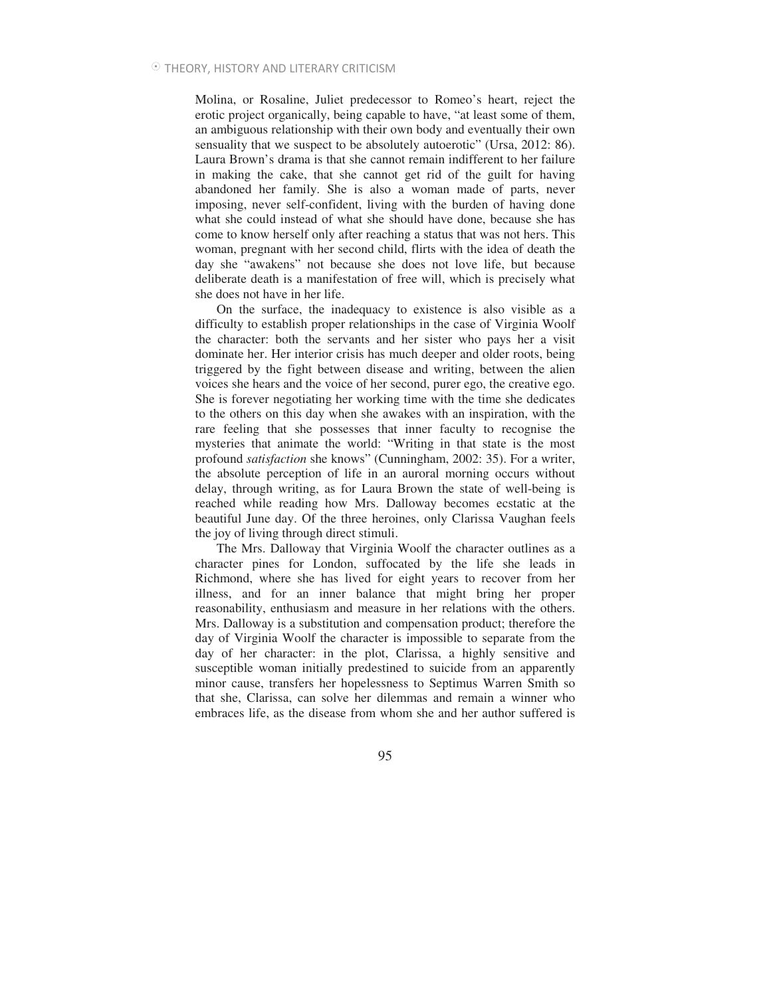Molina, or Rosaline, Juliet predecessor to Romeo's heart, reject the erotic project organically, being capable to have, "at least some of them, an ambiguous relationship with their own body and eventually their own sensuality that we suspect to be absolutely autoerotic" (Ursa, 2012: 86). Laura Brown's drama is that she cannot remain indifferent to her failure in making the cake, that she cannot get rid of the guilt for having abandoned her family. She is also a woman made of parts, never imposing, never self-confident, living with the burden of having done what she could instead of what she should have done, because she has come to know herself only after reaching a status that was not hers. This woman, pregnant with her second child, flirts with the idea of death the day she "awakens" not because she does not love life, but because deliberate death is a manifestation of free will, which is precisely what she does not have in her life.

On the surface, the inadequacy to existence is also visible as a difficulty to establish proper relationships in the case of Virginia Woolf the character: both the servants and her sister who pays her a visit dominate her. Her interior crisis has much deeper and older roots, being triggered by the fight between disease and writing, between the alien voices she hears and the voice of her second, purer ego, the creative ego. She is forever negotiating her working time with the time she dedicates to the others on this day when she awakes with an inspiration, with the rare feeling that she possesses that inner faculty to recognise the mysteries that animate the world: "Writing in that state is the most profound *satisfaction* she knows" (Cunningham, 2002: 35). For a writer, the absolute perception of life in an auroral morning occurs without delay, through writing, as for Laura Brown the state of well-being is reached while reading how Mrs. Dalloway becomes ecstatic at the beautiful June day. Of the three heroines, only Clarissa Vaughan feels the joy of living through direct stimuli.

The Mrs. Dalloway that Virginia Woolf the character outlines as a character pines for London, suffocated by the life she leads in Richmond, where she has lived for eight years to recover from her illness, and for an inner balance that might bring her proper reasonability, enthusiasm and measure in her relations with the others. Mrs. Dalloway is a substitution and compensation product; therefore the day of Virginia Woolf the character is impossible to separate from the day of her character: in the plot, Clarissa, a highly sensitive and susceptible woman initially predestined to suicide from an apparently minor cause, transfers her hopelessness to Septimus Warren Smith so that she, Clarissa, can solve her dilemmas and remain a winner who embraces life, as the disease from whom she and her author suffered is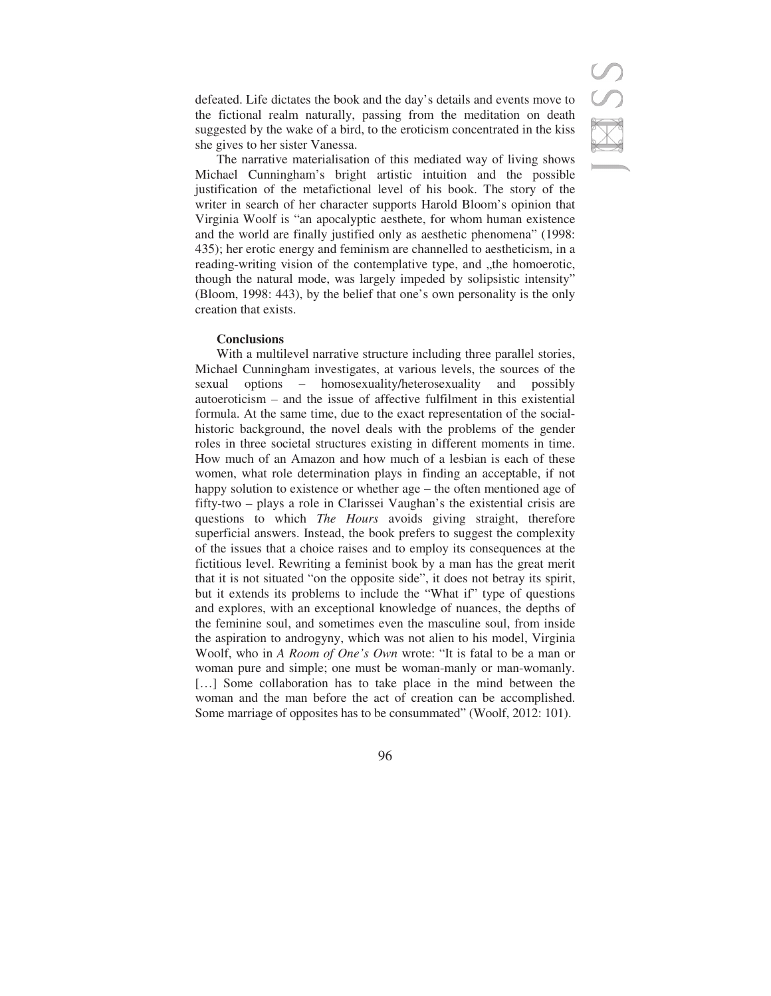defeated. Life dictates the book and the day's details and events move to the fictional realm naturally, passing from the meditation on death suggested by the wake of a bird, to the eroticism concentrated in the kiss she gives to her sister Vanessa.

The narrative materialisation of this mediated way of living shows Michael Cunningham's bright artistic intuition and the possible justification of the metafictional level of his book. The story of the writer in search of her character supports Harold Bloom's opinion that Virginia Woolf is "an apocalyptic aesthete, for whom human existence and the world are finally justified only as aesthetic phenomena" (1998: 435); her erotic energy and feminism are channelled to aestheticism, in a reading-writing vision of the contemplative type, and "the homoerotic, though the natural mode, was largely impeded by solipsistic intensity" (Bloom, 1998: 443), by the belief that one's own personality is the only creation that exists.

## **Conclusions**

With a multilevel narrative structure including three parallel stories, Michael Cunningham investigates, at various levels, the sources of the sexual options – homosexuality/heterosexuality and possibly autoeroticism – and the issue of affective fulfilment in this existential formula. At the same time, due to the exact representation of the socialhistoric background, the novel deals with the problems of the gender roles in three societal structures existing in different moments in time. How much of an Amazon and how much of a lesbian is each of these women, what role determination plays in finding an acceptable, if not happy solution to existence or whether age – the often mentioned age of fifty-two – plays a role in Clarissei Vaughan's the existential crisis are questions to which *The Hours* avoids giving straight, therefore superficial answers. Instead, the book prefers to suggest the complexity of the issues that a choice raises and to employ its consequences at the fictitious level. Rewriting a feminist book by a man has the great merit that it is not situated "on the opposite side", it does not betray its spirit, but it extends its problems to include the "What if" type of questions and explores, with an exceptional knowledge of nuances, the depths of the feminine soul, and sometimes even the masculine soul, from inside the aspiration to androgyny, which was not alien to his model, Virginia Woolf, who in *A Room of One's Own* wrote: "It is fatal to be a man or woman pure and simple; one must be woman-manly or man-womanly. [...] Some collaboration has to take place in the mind between the woman and the man before the act of creation can be accomplished. Some marriage of opposites has to be consummated" (Woolf, 2012: 101).